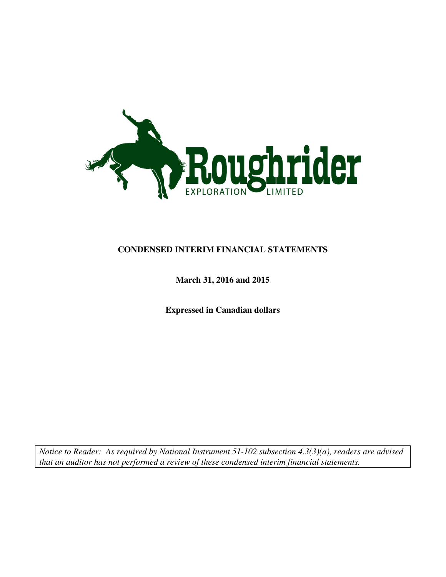

### **CONDENSED INTERIM FINANCIAL STATEMENTS**

### **March 31, 2016 and 2015**

**Expressed in Canadian dollars** 

*Notice to Reader: As required by National Instrument 51-102 subsection 4.3(3)(a), readers are advised that an auditor has not performed a review of these condensed interim financial statements.*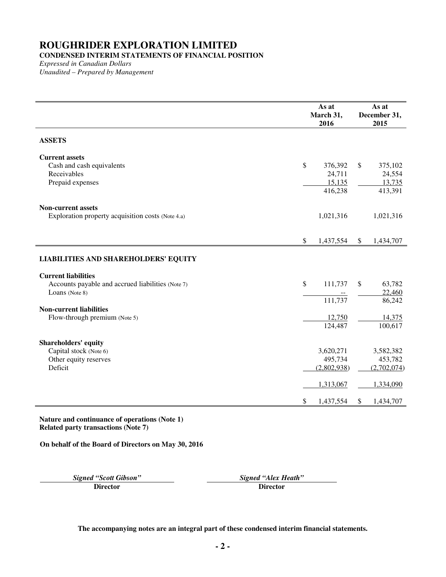# **CONDENSED INTERIM STATEMENTS OF FINANCIAL POSITION**

*Expressed in Canadian Dollars Unaudited – Prepared by Management* 

|                                                                                                   |               | As at<br>March 31,<br>2016             |               | As at<br>December 31,<br>2015          |
|---------------------------------------------------------------------------------------------------|---------------|----------------------------------------|---------------|----------------------------------------|
| <b>ASSETS</b>                                                                                     |               |                                        |               |                                        |
| <b>Current assets</b><br>Cash and cash equivalents<br>Receivables<br>Prepaid expenses             | $\mathcal{S}$ | 376,392<br>24,711<br>15,135<br>416,238 | $\mathsf{\$}$ | 375,102<br>24,554<br>13,735<br>413,391 |
| <b>Non-current assets</b><br>Exploration property acquisition costs (Note 4.a)                    |               | 1,021,316                              |               | 1,021,316                              |
|                                                                                                   | $\mathcal{S}$ | 1,437,554                              | $\mathbb{S}$  | 1,434,707                              |
| <b>LIABILITIES AND SHAREHOLDERS' EQUITY</b>                                                       |               |                                        |               |                                        |
| <b>Current liabilities</b><br>Accounts payable and accrued liabilities (Note 7)<br>Loans (Note 8) | \$            | 111,737<br>111,737                     | \$            | 63,782<br>22,460<br>86,242             |
| <b>Non-current liabilities</b><br>Flow-through premium (Note 5)                                   |               | 12,750<br>124,487                      |               | 14,375<br>100,617                      |
| <b>Shareholders' equity</b><br>Capital stock (Note 6)<br>Other equity reserves<br>Deficit         |               | 3,620,271<br>495,734<br>(2,802,938)    |               | 3,582,382<br>453,782<br>(2,702,074)    |
|                                                                                                   | \$            | 1,313,067<br>1,437,554                 | $\mathbb{S}$  | 1,334,090<br>1,434,707                 |

**Nature and continuance of operations (Note 1) Related party transactions (Note 7)** 

**On behalf of the Board of Directors on May 30, 2016**

**Signed "Scott Gibson"** Signed "Alex Heath" **Signed "Alex Heath" Director Director Director**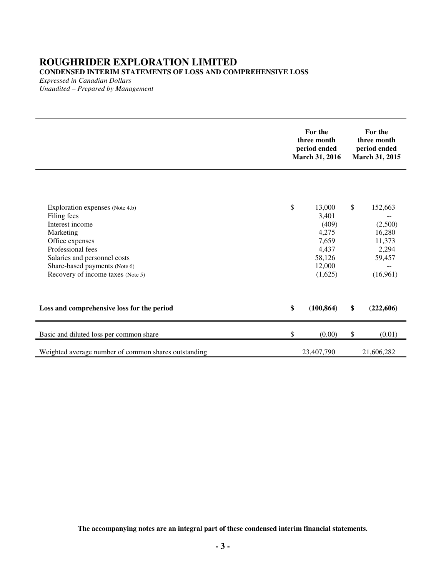### **ROUGHRIDER EXPLORATION LIMITED CONDENSED INTERIM STATEMENTS OF LOSS AND COMPREHENSIVE LOSS**

*Expressed in Canadian Dollars Unaudited – Prepared by Management* 

|                                                                                                                                                                                                                              | For the<br>three month<br>period ended<br>March 31, 2016                                 |        | For the<br>three month<br>period ended<br>March 31, 2015                    |  |
|------------------------------------------------------------------------------------------------------------------------------------------------------------------------------------------------------------------------------|------------------------------------------------------------------------------------------|--------|-----------------------------------------------------------------------------|--|
| Exploration expenses (Note 4.b)<br>Filing fees<br>Interest income<br>Marketing<br>Office expenses<br>Professional fees<br>Salaries and personnel costs<br>Share-based payments (Note 6)<br>Recovery of income taxes (Note 5) | \$<br>13,000<br>3,401<br>(409)<br>4,275<br>7,659<br>4,437<br>58,126<br>12,000<br>(1,625) | $\$\,$ | 152,663<br>(2,500)<br>16,280<br>11,373<br>2,294<br>59,457<br>--<br>(16,961) |  |
| Loss and comprehensive loss for the period                                                                                                                                                                                   | \$<br>(100, 864)                                                                         | \$     | (222, 606)                                                                  |  |
| Basic and diluted loss per common share                                                                                                                                                                                      | \$<br>(0.00)                                                                             | \$     | (0.01)                                                                      |  |
| Weighted average number of common shares outstanding                                                                                                                                                                         | 23,407,790                                                                               |        | 21,606,282                                                                  |  |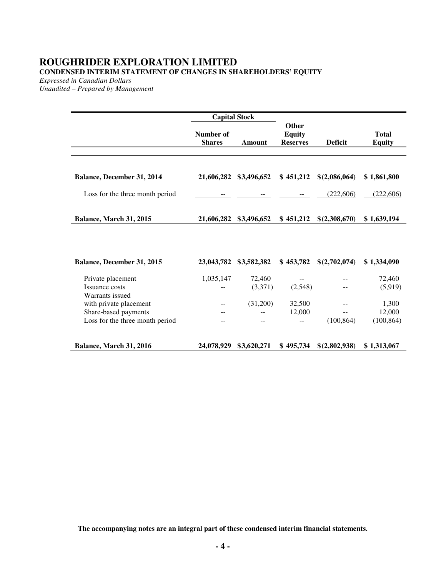# **ROUGHRIDER EXPLORATION LIMITED CONDENSED INTERIM STATEMENT OF CHANGES IN SHAREHOLDERS' EQUITY**

*Expressed in Canadian Dollars* 

*Unaudited – Prepared by Management* 

|                                   | <b>Capital Stock</b>       |               |                                                  |                |                               |
|-----------------------------------|----------------------------|---------------|--------------------------------------------------|----------------|-------------------------------|
|                                   | Number of<br><b>Shares</b> | <b>Amount</b> | <b>Other</b><br><b>Equity</b><br><b>Reserves</b> | <b>Deficit</b> | <b>Total</b><br><b>Equity</b> |
|                                   |                            |               |                                                  |                |                               |
|                                   |                            |               |                                                  |                |                               |
| Balance, December 31, 2014        | 21,606,282                 | \$3,496,652   | \$451,212                                        | \$(2,086,064)  | \$1,861,800                   |
| Loss for the three month period   |                            |               |                                                  | (222,606)      | (222,606)                     |
|                                   |                            |               |                                                  |                |                               |
| Balance, March 31, 2015           | 21,606,282                 | \$3,496,652   | \$451,212                                        | \$(2,308,670)  | \$1,639,194                   |
|                                   |                            |               |                                                  |                |                               |
|                                   |                            |               |                                                  |                |                               |
| <b>Balance, December 31, 2015</b> | 23,043,782                 | \$3,582,382   | \$453,782                                        | \$(2,702,074)  | \$1,334,090                   |
| Private placement                 | 1,035,147                  | 72,460        | $- -$                                            |                | 72,460                        |
| Issuance costs                    |                            | (3,371)       | (2,548)                                          |                | (5,919)                       |
| Warrants issued                   |                            |               |                                                  |                |                               |
| with private placement            |                            | (31,200)      | 32,500                                           |                | 1,300                         |
| Share-based payments              |                            |               | 12,000                                           |                | 12,000                        |
| Loss for the three month period   | --                         |               |                                                  | (100, 864)     | (100, 864)                    |
| Balance, March 31, 2016           | 24,078,929                 | \$3,620,271   | \$495,734                                        | \$(2,802,938)  | \$1,313,067                   |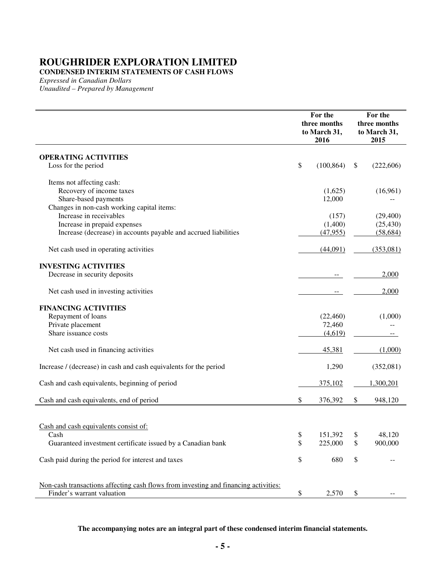**CONDENSED INTERIM STATEMENTS OF CASH FLOWS** 

*Expressed in Canadian Dollars Unaudited – Prepared by Management* 

|                                                                                     | For the<br>three months<br>to March 31,<br>2016 |            | For the<br>three months<br>to March 31,<br>2015 |            |
|-------------------------------------------------------------------------------------|-------------------------------------------------|------------|-------------------------------------------------|------------|
| <b>OPERATING ACTIVITIES</b>                                                         |                                                 |            |                                                 |            |
| Loss for the period                                                                 | \$                                              | (100, 864) | S                                               | (222, 606) |
| Items not affecting cash:                                                           |                                                 |            |                                                 |            |
| Recovery of income taxes                                                            |                                                 | (1,625)    |                                                 | (16,961)   |
| Share-based payments                                                                |                                                 | 12,000     |                                                 |            |
| Changes in non-cash working capital items:                                          |                                                 |            |                                                 |            |
| Increase in receivables                                                             |                                                 | (157)      |                                                 | (29,400)   |
| Increase in prepaid expenses                                                        |                                                 | (1,400)    |                                                 | (25, 430)  |
| Increase (decrease) in accounts payable and accrued liabilities                     |                                                 | (47, 955)  |                                                 | (58, 684)  |
| Net cash used in operating activities                                               |                                                 | (44,091)   |                                                 | (353,081)  |
| <b>INVESTING ACTIVITIES</b>                                                         |                                                 |            |                                                 |            |
| Decrease in security deposits                                                       |                                                 |            |                                                 | 2,000      |
| Net cash used in investing activities                                               |                                                 |            |                                                 | 2,000      |
| <b>FINANCING ACTIVITIES</b>                                                         |                                                 |            |                                                 |            |
| Repayment of loans                                                                  |                                                 | (22, 460)  |                                                 | (1,000)    |
| Private placement                                                                   |                                                 | 72,460     |                                                 |            |
| Share issuance costs                                                                |                                                 | (4,619)    |                                                 |            |
| Net cash used in financing activities                                               |                                                 | 45,381     |                                                 | (1,000)    |
| Increase / (decrease) in cash and cash equivalents for the period                   |                                                 | 1,290      |                                                 | (352,081)  |
| Cash and cash equivalents, beginning of period                                      |                                                 | 375,102    |                                                 | 1,300,201  |
| Cash and cash equivalents, end of period                                            | \$                                              | 376,392    | \$                                              | 948,120    |
|                                                                                     |                                                 |            |                                                 |            |
| Cash and cash equivalents consist of:                                               |                                                 |            |                                                 |            |
| Cash                                                                                | \$                                              | 151,392    | \$                                              | 48,120     |
| Guaranteed investment certificate issued by a Canadian bank                         | \$                                              | 225,000    | \$                                              | 900,000    |
| Cash paid during the period for interest and taxes                                  | \$                                              | 680        | \$                                              |            |
| Non-cash transactions affecting cash flows from investing and financing activities: |                                                 |            |                                                 |            |
| Finder's warrant valuation                                                          | \$                                              | 2,570      | \$                                              |            |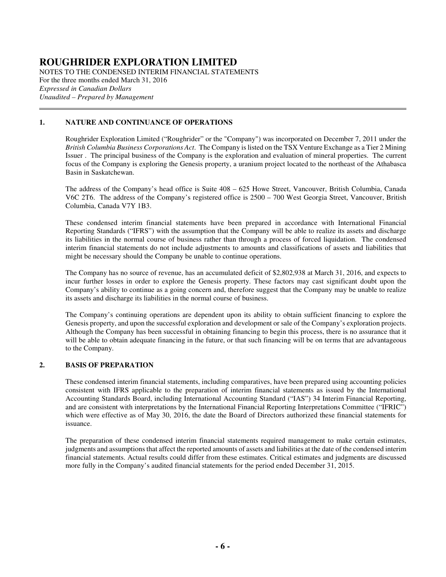NOTES TO THE CONDENSED INTERIM FINANCIAL STATEMENTS For the three months ended March 31, 2016 *Expressed in Canadian Dollars Unaudited – Prepared by Management*   $\overline{a}$ 

### **1. NATURE AND CONTINUANCE OF OPERATIONS**

Roughrider Exploration Limited ("Roughrider" or the "Company") was incorporated on December 7, 2011 under the *British Columbia Business Corporations Act*. The Company is listed on the TSX Venture Exchange as a Tier 2 Mining Issuer . The principal business of the Company is the exploration and evaluation of mineral properties. The current focus of the Company is exploring the Genesis property, a uranium project located to the northeast of the Athabasca Basin in Saskatchewan.

The address of the Company's head office is Suite 408 – 625 Howe Street, Vancouver, British Columbia, Canada V6C 2T6. The address of the Company's registered office is 2500 – 700 West Georgia Street, Vancouver, British Columbia, Canada V7Y 1B3.

 These condensed interim financial statements have been prepared in accordance with International Financial Reporting Standards ("IFRS") with the assumption that the Company will be able to realize its assets and discharge its liabilities in the normal course of business rather than through a process of forced liquidation. The condensed interim financial statements do not include adjustments to amounts and classifications of assets and liabilities that might be necessary should the Company be unable to continue operations.

 The Company has no source of revenue, has an accumulated deficit of \$2,802,938 at March 31, 2016, and expects to incur further losses in order to explore the Genesis property. These factors may cast significant doubt upon the Company's ability to continue as a going concern and, therefore suggest that the Company may be unable to realize its assets and discharge its liabilities in the normal course of business.

 The Company's continuing operations are dependent upon its ability to obtain sufficient financing to explore the Genesis property, and upon the successful exploration and development or sale of the Company's exploration projects. Although the Company has been successful in obtaining financing to begin this process, there is no assurance that it will be able to obtain adequate financing in the future, or that such financing will be on terms that are advantageous to the Company.

#### **2. BASIS OF PREPARATION**

These condensed interim financial statements, including comparatives, have been prepared using accounting policies consistent with IFRS applicable to the preparation of interim financial statements as issued by the International Accounting Standards Board, including International Accounting Standard ("IAS") 34 Interim Financial Reporting, and are consistent with interpretations by the International Financial Reporting Interpretations Committee ("IFRIC") which were effective as of May 30, 2016, the date the Board of Directors authorized these financial statements for issuance.

The preparation of these condensed interim financial statements required management to make certain estimates, judgments and assumptions that affect the reported amounts of assets and liabilities at the date of the condensed interim financial statements. Actual results could differ from these estimates. Critical estimates and judgments are discussed more fully in the Company's audited financial statements for the period ended December 31, 2015.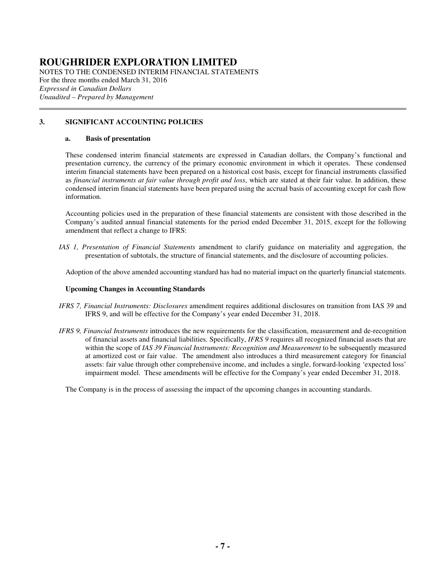NOTES TO THE CONDENSED INTERIM FINANCIAL STATEMENTS For the three months ended March 31, 2016 *Expressed in Canadian Dollars Unaudited – Prepared by Management*   $\overline{a}$ 

### **3. SIGNIFICANT ACCOUNTING POLICIES**

#### **a. Basis of presentation**

These condensed interim financial statements are expressed in Canadian dollars, the Company's functional and presentation currency, the currency of the primary economic environment in which it operates. These condensed interim financial statements have been prepared on a historical cost basis, except for financial instruments classified as *financial instruments at fair value through profit and loss*, which are stated at their fair value. In addition, these condensed interim financial statements have been prepared using the accrual basis of accounting except for cash flow information.

Accounting policies used in the preparation of these financial statements are consistent with those described in the Company's audited annual financial statements for the period ended December 31, 2015, except for the following amendment that reflect a change to IFRS:

*IAS 1, Presentation of Financial Statements* amendment to clarify guidance on materiality and aggregation, the presentation of subtotals, the structure of financial statements, and the disclosure of accounting policies.

Adoption of the above amended accounting standard has had no material impact on the quarterly financial statements.

#### **Upcoming Changes in Accounting Standards**

- *IFRS 7, Financial Instruments: Disclosures* amendment requires additional disclosures on transition from IAS 39 and IFRS 9, and will be effective for the Company's year ended December 31, 2018.
- *IFRS 9, Financial Instruments* introduces the new requirements for the classification, measurement and de-recognition of financial assets and financial liabilities. Specifically, *IFRS 9* requires all recognized financial assets that are within the scope of *IAS 39 Financial Instruments: Recognition and Measurement* to be subsequently measured at amortized cost or fair value. The amendment also introduces a third measurement category for financial assets: fair value through other comprehensive income, and includes a single, forward-looking 'expected loss' impairment model. These amendments will be effective for the Company's year ended December 31, 2018.

The Company is in the process of assessing the impact of the upcoming changes in accounting standards.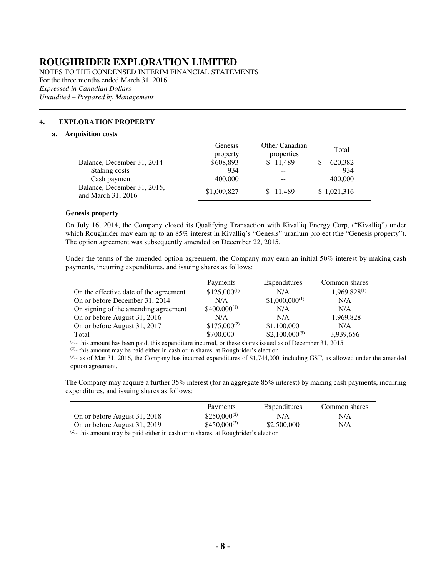NOTES TO THE CONDENSED INTERIM FINANCIAL STATEMENTS For the three months ended March 31, 2016 *Expressed in Canadian Dollars Unaudited – Prepared by Management* 

### **4. EXPLORATION PROPERTY**

#### **a. Acquisition costs**

 $\overline{a}$ 

|                                                   | Genesis<br>property | Other Canadian<br>properties | Total       |
|---------------------------------------------------|---------------------|------------------------------|-------------|
| Balance, December 31, 2014                        | \$608,893           | \$11.489                     | 620,382     |
| Staking costs                                     | 934                 |                              | 934         |
| Cash payment                                      | 400,000             | --                           | 400,000     |
| Balance, December 31, 2015,<br>and March 31, 2016 | \$1,009,827         | \$11,489                     | \$1,021,316 |

#### **Genesis property**

On July 16, 2014, the Company closed its Qualifying Transaction with Kivalliq Energy Corp, ("Kivalliq") under which Roughrider may earn up to an 85% interest in Kivalliq's "Genesis" uranium project (the "Genesis property"). The option agreement was subsequently amended on December 22, 2015.

Under the terms of the amended option agreement, the Company may earn an initial 50% interest by making cash payments, incurring expenditures, and issuing shares as follows:

|                                        | Payments         | Expenditures       | Common shares     |
|----------------------------------------|------------------|--------------------|-------------------|
| On the effective date of the agreement | $$125,000^{(1)}$ | N/A                | $1,969,828^{(1)}$ |
| On or before December 31, 2014         | N/A              | $$1,000,000^{(1)}$ | N/A               |
| On signing of the amending agreement   | $$400,000^{(1)}$ | N/A                | N/A               |
| On or before August 31, 2016           | N/A              | N/A                | 1,969,828         |
| On or before August 31, 2017           | $$175,000^{(2)}$ | \$1,100,000        | N/A               |
| Total                                  | \$700,000        | $$2,100,000^{(3)}$ | 3,939,656         |

 $(1)$ - this amount has been paid, this expenditure incurred, or these shares issued as of December 31, 2015

 $(2)$ - this amount may be paid either in cash or in shares, at Roughrider's election

 $(3)$ - as of Mar 31, 2016, the Company has incurred expenditures of \$1,744,000, including GST, as allowed under the amended option agreement.

The Company may acquire a further 35% interest (for an aggregate 85% interest) by making cash payments, incurring expenditures, and issuing shares as follows:

|                              | Payments          | Expenditures | Common shares |
|------------------------------|-------------------|--------------|---------------|
| On or before August 31, 2018 | $$250,000^{(2)}$$ | N/A          | N/A           |
| On or before August 31, 2019 | $$450,000^{(2)}$$ | \$2,500,000  | N/A           |

 $\overline{^{(2)}}$ - this amount may be paid either in cash or in shares, at Roughrider's election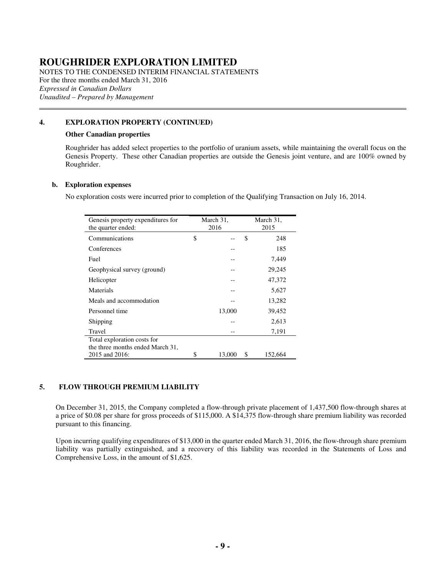NOTES TO THE CONDENSED INTERIM FINANCIAL STATEMENTS For the three months ended March 31, 2016 *Expressed in Canadian Dollars Unaudited – Prepared by Management* 

### **4. EXPLORATION PROPERTY (CONTINUED)**

#### **Other Canadian properties**

Roughrider has added select properties to the portfolio of uranium assets, while maintaining the overall focus on the Genesis Property. These other Canadian properties are outside the Genesis joint venture, and are 100% owned by Roughrider.

#### **b. Exploration expenses**

 $\overline{a}$ 

No exploration costs were incurred prior to completion of the Qualifying Transaction on July 16, 2014.

| Genesis property expenditures for<br>the quarter ended: | March 31,<br>March 31,<br>2016<br>2015 |        |    |         |
|---------------------------------------------------------|----------------------------------------|--------|----|---------|
| Communications                                          | \$                                     |        | \$ | 248     |
| Conferences                                             |                                        |        |    | 185     |
| Fuel                                                    |                                        |        |    | 7,449   |
| Geophysical survey (ground)                             |                                        |        |    | 29,245  |
| Helicopter                                              |                                        |        |    | 47,372  |
| Materials                                               |                                        |        |    | 5,627   |
| Meals and accommodation                                 |                                        |        |    | 13,282  |
| Personnel time                                          |                                        | 13,000 |    | 39,452  |
| Shipping                                                |                                        |        |    | 2,613   |
| Travel                                                  |                                        |        |    | 7,191   |
| Total exploration costs for                             |                                        |        |    |         |
| the three months ended March 31,                        |                                        |        |    |         |
| 2015 and 2016:                                          | \$                                     | 13,000 | \$ | 152,664 |

### **5. FLOW THROUGH PREMIUM LIABILITY**

On December 31, 2015, the Company completed a flow-through private placement of 1,437,500 flow-through shares at a price of \$0.08 per share for gross proceeds of \$115,000. A \$14,375 flow-through share premium liability was recorded pursuant to this financing.

Upon incurring qualifying expenditures of \$13,000 in the quarter ended March 31, 2016, the flow-through share premium liability was partially extinguished, and a recovery of this liability was recorded in the Statements of Loss and Comprehensive Loss, in the amount of \$1,625.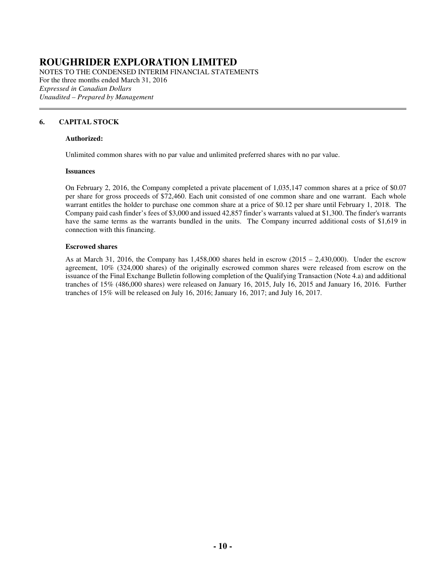NOTES TO THE CONDENSED INTERIM FINANCIAL STATEMENTS For the three months ended March 31, 2016 *Expressed in Canadian Dollars Unaudited – Prepared by Management* 

### **6. CAPITAL STOCK**

 $\overline{a}$ 

#### **Authorized:**

Unlimited common shares with no par value and unlimited preferred shares with no par value.

#### **Issuances**

 On February 2, 2016, the Company completed a private placement of 1,035,147 common shares at a price of \$0.07 per share for gross proceeds of \$72,460. Each unit consisted of one common share and one warrant. Each whole warrant entitles the holder to purchase one common share at a price of \$0.12 per share until February 1, 2018. The Company paid cash finder's fees of \$3,000 and issued 42,857 finder's warrants valued at \$1,300. The finder's warrants have the same terms as the warrants bundled in the units. The Company incurred additional costs of \$1,619 in connection with this financing.

#### **Escrowed shares**

As at March 31, 2016, the Company has  $1,458,000$  shares held in escrow  $(2015 - 2,430,000)$ . Under the escrow agreement, 10% (324,000 shares) of the originally escrowed common shares were released from escrow on the issuance of the Final Exchange Bulletin following completion of the Qualifying Transaction (Note 4.a) and additional tranches of 15% (486,000 shares) were released on January 16, 2015, July 16, 2015 and January 16, 2016. Further tranches of 15% will be released on July 16, 2016; January 16, 2017; and July 16, 2017.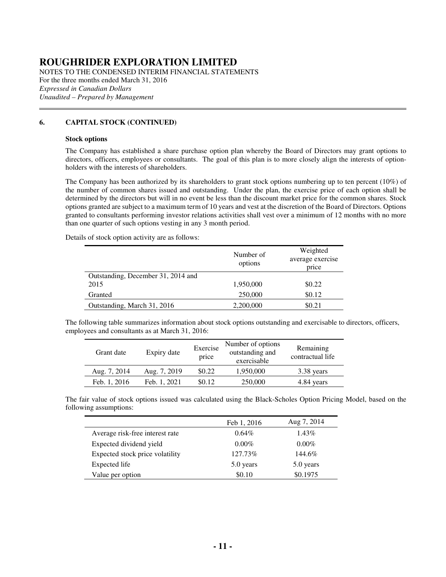NOTES TO THE CONDENSED INTERIM FINANCIAL STATEMENTS For the three months ended March 31, 2016 *Expressed in Canadian Dollars Unaudited – Prepared by Management* 

### **6. CAPITAL STOCK (CONTINUED)**

#### **Stock options**

 $\overline{a}$ 

The Company has established a share purchase option plan whereby the Board of Directors may grant options to directors, officers, employees or consultants. The goal of this plan is to more closely align the interests of optionholders with the interests of shareholders.

The Company has been authorized by its shareholders to grant stock options numbering up to ten percent (10%) of the number of common shares issued and outstanding. Under the plan, the exercise price of each option shall be determined by the directors but will in no event be less than the discount market price for the common shares. Stock options granted are subject to a maximum term of 10 years and vest at the discretion of the Board of Directors. Options granted to consultants performing investor relations activities shall vest over a minimum of 12 months with no more than one quarter of such options vesting in any 3 month period.

Details of stock option activity are as follows:

|                                    | Number of<br>options | Weighted<br>average exercise<br>price |
|------------------------------------|----------------------|---------------------------------------|
| Outstanding, December 31, 2014 and |                      |                                       |
| 2015                               | 1,950,000            | \$0.22                                |
| Granted                            | 250,000              | \$0.12                                |
| Outstanding, March 31, 2016        | 2,200,000            | \$0.21                                |

The following table summarizes information about stock options outstanding and exercisable to directors, officers, employees and consultants as at March 31, 2016:

| Grant date   | Expiry date  | Exercise<br>price | Number of options<br>outstanding and<br>exercisable | Remaining<br>contractual life |
|--------------|--------------|-------------------|-----------------------------------------------------|-------------------------------|
| Aug. 7, 2014 | Aug. 7, 2019 | \$0.22            | 1,950,000                                           | 3.38 years                    |
| Feb. 1, 2016 | Feb. 1, 2021 | \$0.12            | 250,000                                             | 4.84 years                    |

The fair value of stock options issued was calculated using the Black-Scholes Option Pricing Model, based on the following assumptions:

|                                 | Feb 1, 2016 | Aug 7, 2014 |
|---------------------------------|-------------|-------------|
| Average risk-free interest rate | $0.64\%$    | 1.43%       |
| Expected dividend yield         | $0.00\%$    | $0.00\%$    |
| Expected stock price volatility | 127.73%     | 144.6%      |
| Expected life                   | 5.0 years   | 5.0 years   |
| Value per option                | \$0.10      | \$0.1975    |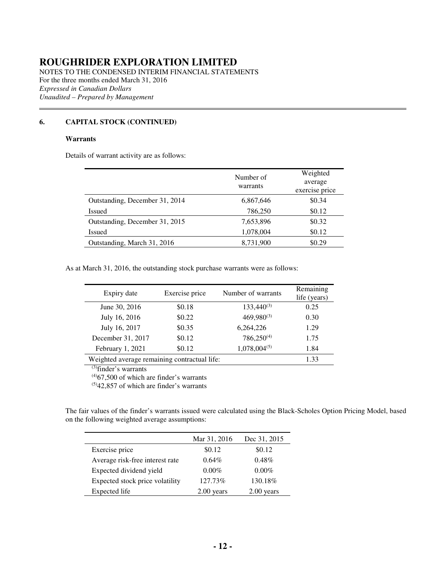NOTES TO THE CONDENSED INTERIM FINANCIAL STATEMENTS For the three months ended March 31, 2016 *Expressed in Canadian Dollars Unaudited – Prepared by Management*   $\overline{a}$ 

### **6. CAPITAL STOCK (CONTINUED)**

### **Warrants**

Details of warrant activity are as follows:

|                                | Number of<br>warrants | Weighted<br>average<br>exercise price |
|--------------------------------|-----------------------|---------------------------------------|
| Outstanding, December 31, 2014 | 6,867,646             | \$0.34                                |
| Issued                         | 786,250               | \$0.12                                |
| Outstanding, December 31, 2015 | 7,653,896             | \$0.32                                |
| Issued                         | 1,078,004             | \$0.12                                |
| Outstanding, March 31, 2016    | 8,731,900             | \$0.29                                |

As at March 31, 2016, the outstanding stock purchase warrants were as follows:

| Expiry date                                  | Exercise price | Number of warrants | Remaining<br>life (years) |
|----------------------------------------------|----------------|--------------------|---------------------------|
| June 30, 2016                                | \$0.18         | $133,440^{(3)}$    | 0.25                      |
| July 16, 2016                                | \$0.22         | $469,980^{(3)}$    | 0.30                      |
| July 16, 2017                                | \$0.35         | 6,264,226          | 1.29                      |
| December 31, 2017                            | \$0.12         | $786,250^{(4)}$    | 1.75                      |
| February 1, 2021                             | \$0.12         | $1,078,004^{(5)}$  | 1.84                      |
| Weighted average remaining contractual life: | 1.33           |                    |                           |

(3)finder's warrants

 $(4)67,500$  of which are finder's warrants

 $(5)42,857$  of which are finder's warrants

The fair values of the finder's warrants issued were calculated using the Black-Scholes Option Pricing Model, based on the following weighted average assumptions:

|                                 | Mar 31, 2016  | Dec 31, 2015 |
|---------------------------------|---------------|--------------|
| Exercise price                  | \$0.12        | \$0.12       |
| Average risk-free interest rate | $0.64\%$      | $0.48\%$     |
| Expected dividend yield         | $0.00\%$      | $0.00\%$     |
| Expected stock price volatility | 127.73%       | 130.18%      |
| Expected life                   | vears<br>2.00 | years        |